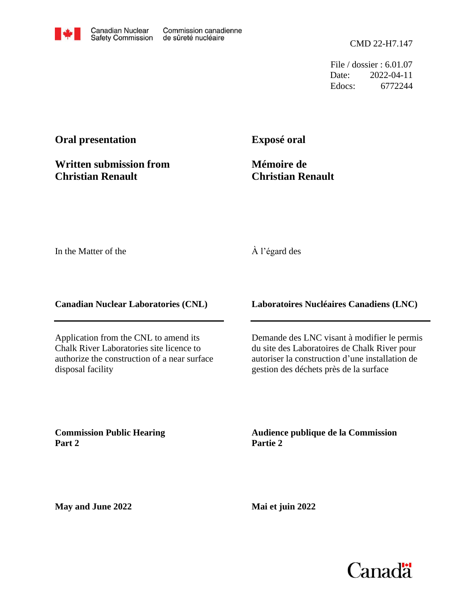File / dossier : 6.01.07 Date: 2022-04-11 Edocs: 6772244

## **Oral presentation**

**Written submission from Christian Renault**

**Exposé oral**

**Mémoire de Christian Renault**

In the Matter of the

## À l'égard des

**Canadian Nuclear Laboratories (CNL)**

Application from the CNL to amend its Chalk River Laboratories site licence to authorize the construction of a near surface disposal facility

**Laboratoires Nucléaires Canadiens (LNC)**

Demande des LNC visant à modifier le permis du site des Laboratoires de Chalk River pour autoriser la construction d'une installation de gestion des déchets près de la surface

**Commission Public Hearing Part 2**

**Audience publique de la Commission Partie 2**

**May and June 2022**

**Mai et juin 2022**